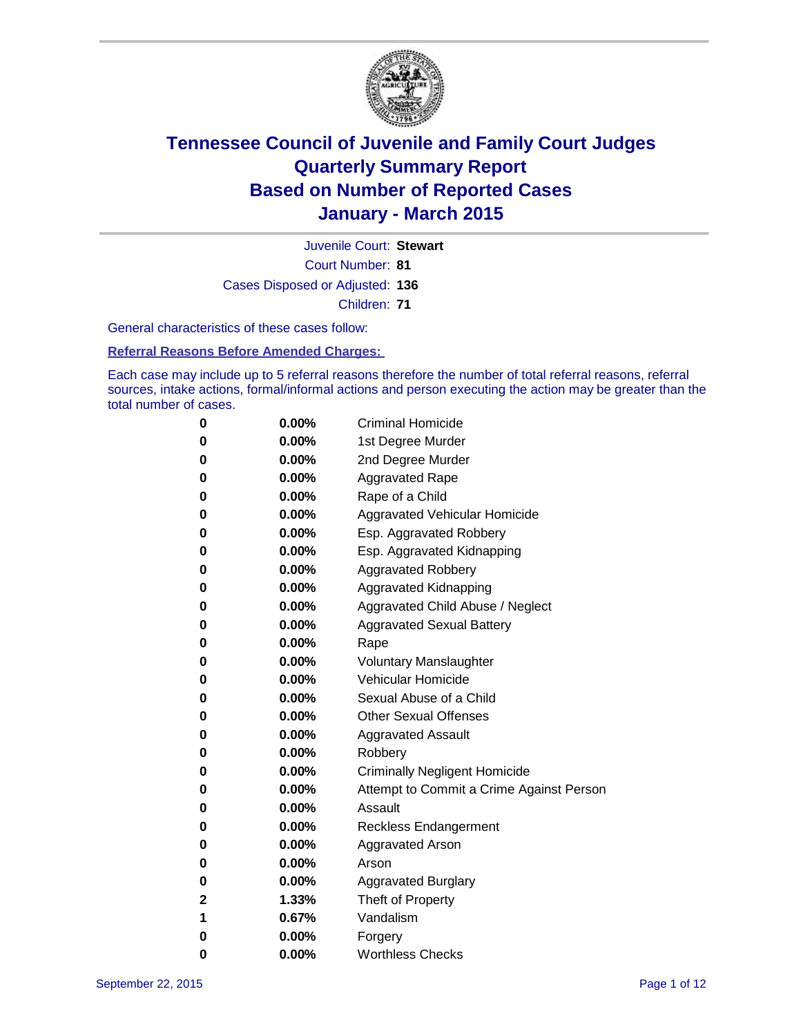

Court Number: **81** Juvenile Court: **Stewart** Cases Disposed or Adjusted: **136** Children: **71**

General characteristics of these cases follow:

**Referral Reasons Before Amended Charges:** 

Each case may include up to 5 referral reasons therefore the number of total referral reasons, referral sources, intake actions, formal/informal actions and person executing the action may be greater than the total number of cases.

| 0            | $0.00\%$ | <b>Criminal Homicide</b>                 |
|--------------|----------|------------------------------------------|
| $\bf{0}$     | $0.00\%$ | 1st Degree Murder                        |
| $\bf{0}$     | 0.00%    | 2nd Degree Murder                        |
| 0            | $0.00\%$ | <b>Aggravated Rape</b>                   |
| 0            | $0.00\%$ | Rape of a Child                          |
| 0            | $0.00\%$ | Aggravated Vehicular Homicide            |
| 0            | 0.00%    | Esp. Aggravated Robbery                  |
| 0            | $0.00\%$ | Esp. Aggravated Kidnapping               |
| 0            | $0.00\%$ | <b>Aggravated Robbery</b>                |
| $\bf{0}$     | $0.00\%$ | <b>Aggravated Kidnapping</b>             |
| 0            | $0.00\%$ | Aggravated Child Abuse / Neglect         |
| 0            | $0.00\%$ | <b>Aggravated Sexual Battery</b>         |
| 0            | $0.00\%$ | Rape                                     |
| 0            | $0.00\%$ | <b>Voluntary Manslaughter</b>            |
| 0            | $0.00\%$ | <b>Vehicular Homicide</b>                |
| 0            | $0.00\%$ | Sexual Abuse of a Child                  |
| 0            | $0.00\%$ | <b>Other Sexual Offenses</b>             |
| 0            | $0.00\%$ | <b>Aggravated Assault</b>                |
| 0            | $0.00\%$ | Robbery                                  |
| 0            | $0.00\%$ | <b>Criminally Negligent Homicide</b>     |
| 0            | $0.00\%$ | Attempt to Commit a Crime Against Person |
| 0            | $0.00\%$ | Assault                                  |
| 0            | 0.00%    | <b>Reckless Endangerment</b>             |
| $\bf{0}$     | $0.00\%$ | <b>Aggravated Arson</b>                  |
| 0            | $0.00\%$ | Arson                                    |
| $\bf{0}$     | 0.00%    | Aggravated Burglary                      |
| $\mathbf{2}$ | 1.33%    | Theft of Property                        |
| 1            | 0.67%    | Vandalism                                |
| 0            | $0.00\%$ | Forgery                                  |
| 0            | $0.00\%$ | <b>Worthless Checks</b>                  |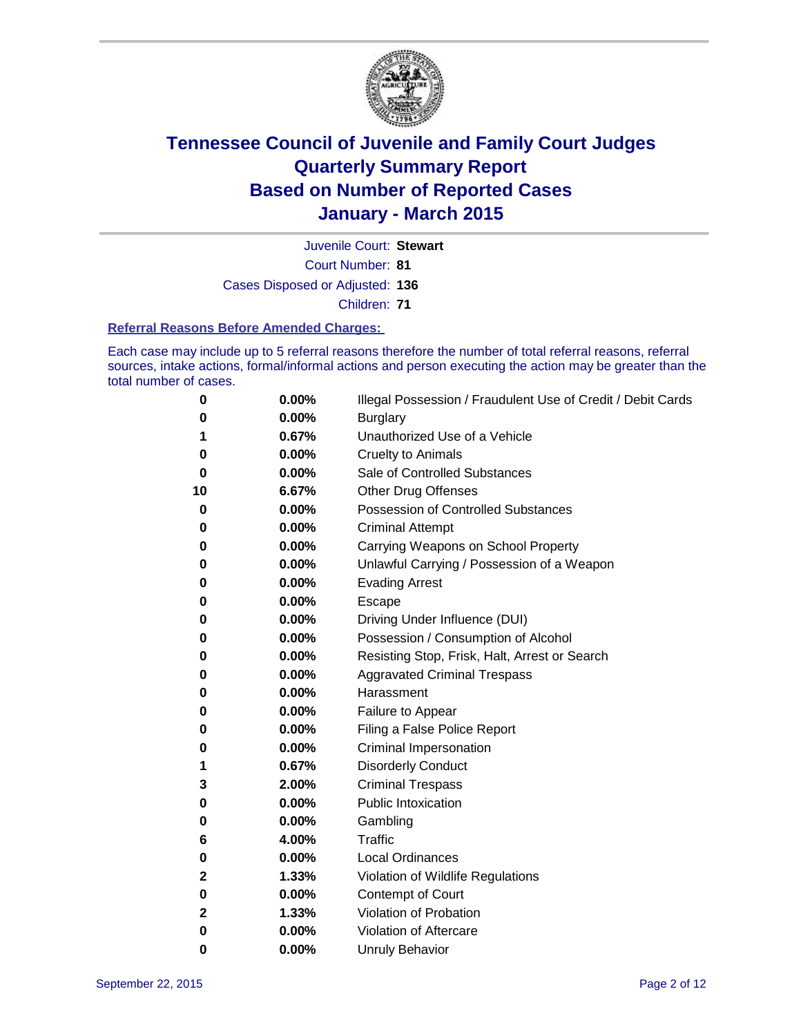

Court Number: **81** Juvenile Court: **Stewart** Cases Disposed or Adjusted: **136**

Children: **71**

#### **Referral Reasons Before Amended Charges:**

Each case may include up to 5 referral reasons therefore the number of total referral reasons, referral sources, intake actions, formal/informal actions and person executing the action may be greater than the total number of cases.

| 0  | 0.00% | Illegal Possession / Fraudulent Use of Credit / Debit Cards |
|----|-------|-------------------------------------------------------------|
| 0  | 0.00% | <b>Burglary</b>                                             |
| 1  | 0.67% | Unauthorized Use of a Vehicle                               |
| 0  | 0.00% | <b>Cruelty to Animals</b>                                   |
| 0  | 0.00% | Sale of Controlled Substances                               |
| 10 | 6.67% | <b>Other Drug Offenses</b>                                  |
| 0  | 0.00% | <b>Possession of Controlled Substances</b>                  |
| 0  | 0.00% | <b>Criminal Attempt</b>                                     |
| 0  | 0.00% | Carrying Weapons on School Property                         |
| 0  | 0.00% | Unlawful Carrying / Possession of a Weapon                  |
| 0  | 0.00% | <b>Evading Arrest</b>                                       |
| 0  | 0.00% | Escape                                                      |
| 0  | 0.00% | Driving Under Influence (DUI)                               |
| 0  | 0.00% | Possession / Consumption of Alcohol                         |
| 0  | 0.00% | Resisting Stop, Frisk, Halt, Arrest or Search               |
| 0  | 0.00% | <b>Aggravated Criminal Trespass</b>                         |
| 0  | 0.00% | Harassment                                                  |
| 0  | 0.00% | Failure to Appear                                           |
| 0  | 0.00% | Filing a False Police Report                                |
| 0  | 0.00% | Criminal Impersonation                                      |
| 1  | 0.67% | <b>Disorderly Conduct</b>                                   |
| 3  | 2.00% | <b>Criminal Trespass</b>                                    |
| 0  | 0.00% | <b>Public Intoxication</b>                                  |
| 0  | 0.00% | Gambling                                                    |
| 6  | 4.00% | <b>Traffic</b>                                              |
| 0  | 0.00% | <b>Local Ordinances</b>                                     |
| 2  | 1.33% | Violation of Wildlife Regulations                           |
| 0  | 0.00% | Contempt of Court                                           |
| 2  | 1.33% | Violation of Probation                                      |
| 0  | 0.00% | Violation of Aftercare                                      |
| 0  | 0.00% | <b>Unruly Behavior</b>                                      |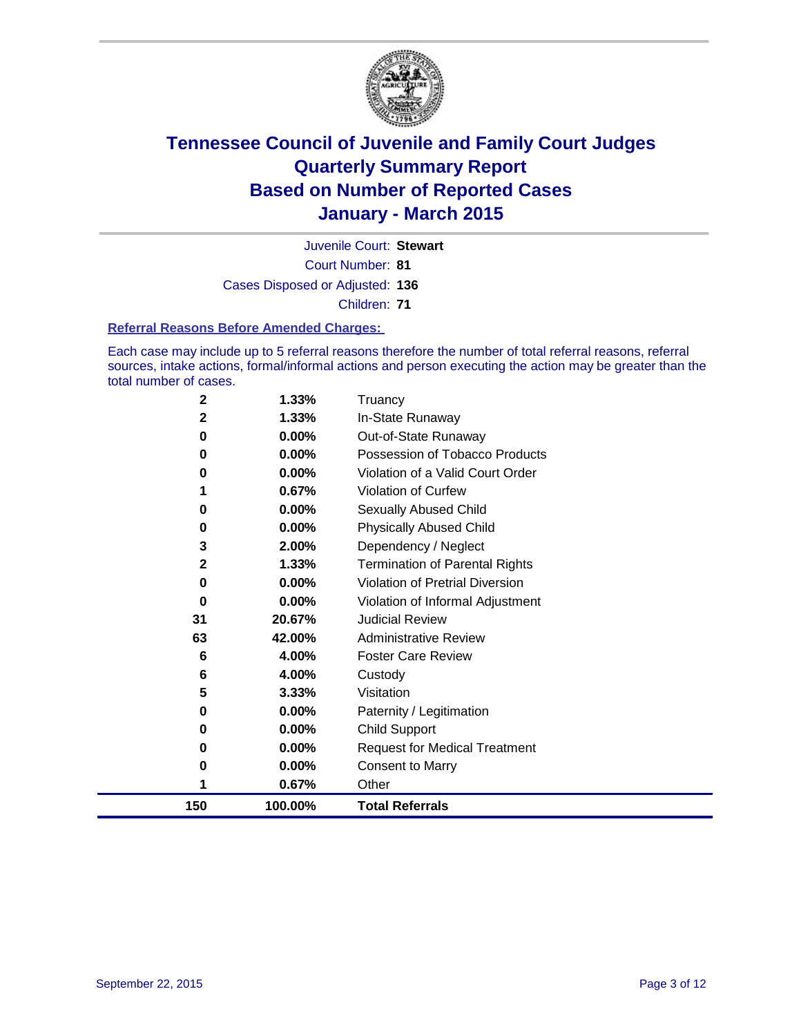

Court Number: **81** Juvenile Court: **Stewart** Cases Disposed or Adjusted: **136** Children: **71**

#### **Referral Reasons Before Amended Charges:**

Each case may include up to 5 referral reasons therefore the number of total referral reasons, referral sources, intake actions, formal/informal actions and person executing the action may be greater than the total number of cases.

| $\mathbf{2}$ | 1.33%   | Truancy                                |
|--------------|---------|----------------------------------------|
| $\mathbf 2$  | 1.33%   | In-State Runaway                       |
| 0            | 0.00%   | Out-of-State Runaway                   |
| 0            | 0.00%   | Possession of Tobacco Products         |
| 0            | 0.00%   | Violation of a Valid Court Order       |
|              | 0.67%   | Violation of Curfew                    |
| 0            | 0.00%   | Sexually Abused Child                  |
| 0            | 0.00%   | <b>Physically Abused Child</b>         |
| 3            | 2.00%   | Dependency / Neglect                   |
| $\mathbf{2}$ | 1.33%   | <b>Termination of Parental Rights</b>  |
| 0            | 0.00%   | <b>Violation of Pretrial Diversion</b> |
| 0            | 0.00%   | Violation of Informal Adjustment       |
| 31           | 20.67%  | <b>Judicial Review</b>                 |
| 63           | 42.00%  | <b>Administrative Review</b>           |
| 6            | 4.00%   | <b>Foster Care Review</b>              |
| 6            | 4.00%   | Custody                                |
| 5            | 3.33%   | Visitation                             |
| 0            | 0.00%   | Paternity / Legitimation               |
| 0            | 0.00%   | Child Support                          |
| 0            | 0.00%   | <b>Request for Medical Treatment</b>   |
| 0            | 0.00%   | <b>Consent to Marry</b>                |
| 1            | 0.67%   | Other                                  |
| 150          | 100.00% | <b>Total Referrals</b>                 |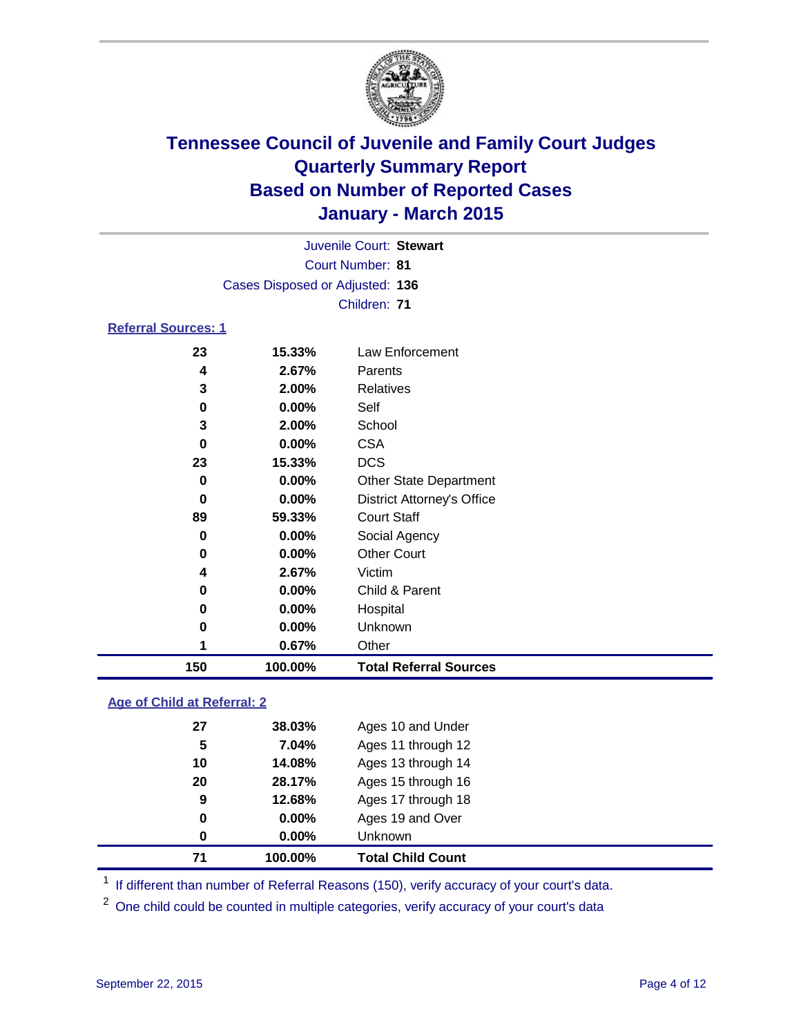

| Juvenile Court: Stewart         |  |
|---------------------------------|--|
| Court Number: 81                |  |
| Cases Disposed or Adjusted: 136 |  |
| Children: 71                    |  |

### **Referral Sources: 1**

| 150      | 100.00%  | <b>Total Referral Sources</b>     |
|----------|----------|-----------------------------------|
|          | 0.67%    | Other                             |
| 0        | $0.00\%$ | Unknown                           |
| 0        | $0.00\%$ | Hospital                          |
| 0        | $0.00\%$ | Child & Parent                    |
| 4        | 2.67%    | Victim                            |
| $\bf{0}$ | $0.00\%$ | <b>Other Court</b>                |
| 0        | $0.00\%$ | Social Agency                     |
| 89       | 59.33%   | <b>Court Staff</b>                |
| 0        | $0.00\%$ | <b>District Attorney's Office</b> |
| 0        | $0.00\%$ | <b>Other State Department</b>     |
| 23       | 15.33%   | <b>DCS</b>                        |
| 0        | $0.00\%$ | <b>CSA</b>                        |
| 3        | 2.00%    | School                            |
| 0        | $0.00\%$ | Self                              |
| 3        | 2.00%    | Relatives                         |
| 4        | 2.67%    | Parents                           |
| 23       | 15.33%   | Law Enforcement                   |

### **Age of Child at Referral: 2**

| 9<br>0 | 12.68%<br>$0.00\%$ | Ages 17 through 18<br>Ages 19 and Over |  |
|--------|--------------------|----------------------------------------|--|
| 0      | $0.00\%$           | <b>Unknown</b>                         |  |
| 71     | 100.00%            | <b>Total Child Count</b>               |  |

<sup>1</sup> If different than number of Referral Reasons (150), verify accuracy of your court's data.

One child could be counted in multiple categories, verify accuracy of your court's data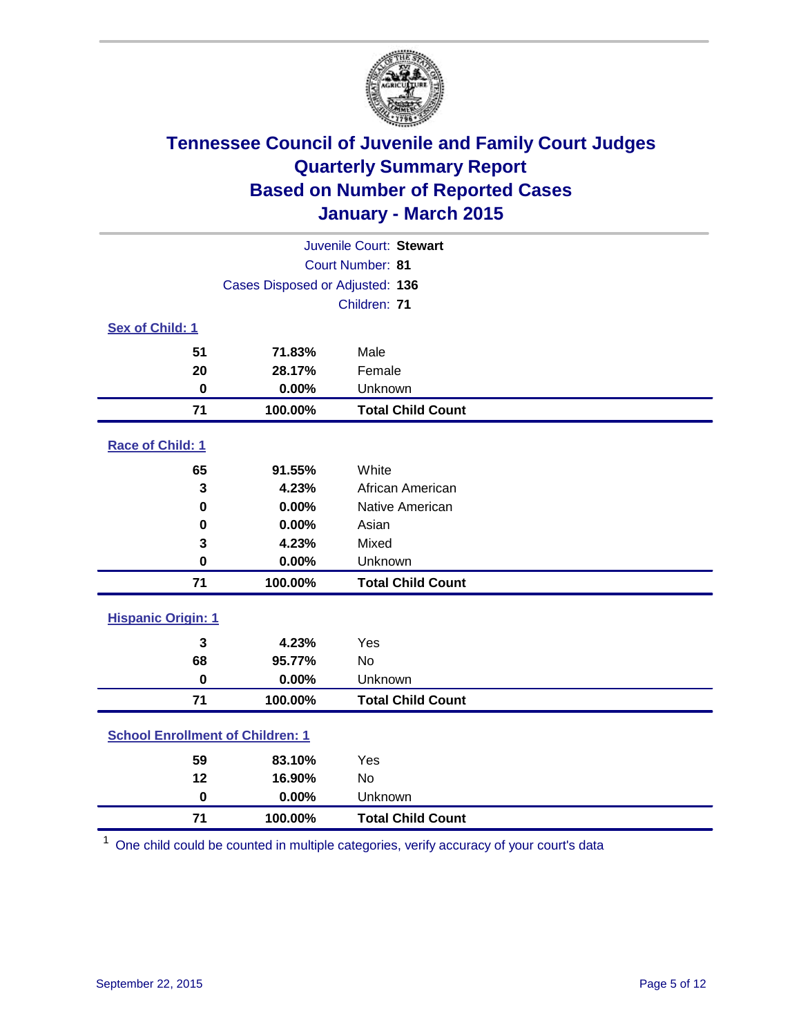

| Juvenile Court: Stewart                 |                                 |                          |  |  |
|-----------------------------------------|---------------------------------|--------------------------|--|--|
| Court Number: 81                        |                                 |                          |  |  |
|                                         | Cases Disposed or Adjusted: 136 |                          |  |  |
|                                         |                                 | Children: 71             |  |  |
| Sex of Child: 1                         |                                 |                          |  |  |
| 51                                      | 71.83%                          | Male                     |  |  |
| 20                                      | 28.17%                          | Female                   |  |  |
| $\bf{0}$                                | 0.00%                           | Unknown                  |  |  |
| 71                                      | 100.00%                         | <b>Total Child Count</b> |  |  |
| Race of Child: 1                        |                                 |                          |  |  |
| 65                                      | 91.55%                          | White                    |  |  |
| 3                                       | 4.23%                           | African American         |  |  |
| 0                                       | 0.00%                           | Native American          |  |  |
| 0                                       | 0.00%                           | Asian                    |  |  |
| 3                                       | 4.23%                           | Mixed                    |  |  |
| 0                                       | 0.00%                           | Unknown                  |  |  |
| 71                                      | 100.00%                         | <b>Total Child Count</b> |  |  |
| <b>Hispanic Origin: 1</b>               |                                 |                          |  |  |
| 3                                       | 4.23%                           | Yes                      |  |  |
| 68                                      | 95.77%                          | <b>No</b>                |  |  |
| $\bf{0}$                                | 0.00%                           | Unknown                  |  |  |
| 71                                      | 100.00%                         | <b>Total Child Count</b> |  |  |
| <b>School Enrollment of Children: 1</b> |                                 |                          |  |  |
| 59                                      | 83.10%                          | Yes                      |  |  |
| 12                                      | 16.90%                          | <b>No</b>                |  |  |
| $\bf{0}$                                | 0.00%                           | Unknown                  |  |  |
| 71                                      | 100.00%                         | <b>Total Child Count</b> |  |  |

One child could be counted in multiple categories, verify accuracy of your court's data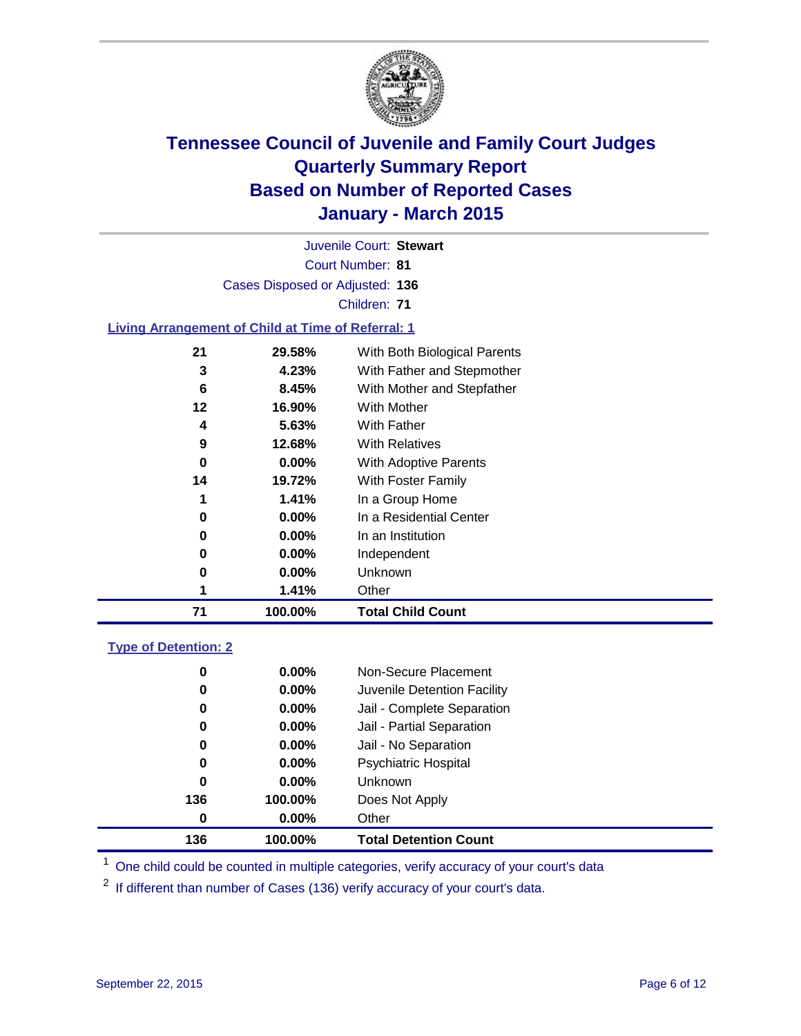

Court Number: **81** Juvenile Court: **Stewart** Cases Disposed or Adjusted: **136** Children: **71**

#### **Living Arrangement of Child at Time of Referral: 1**

| 71 | 100.00%  | <b>Total Child Count</b>     |
|----|----------|------------------------------|
| 1  | 1.41%    | Other                        |
| 0  | $0.00\%$ | Unknown                      |
| 0  | $0.00\%$ | Independent                  |
| 0  | $0.00\%$ | In an Institution            |
| 0  | $0.00\%$ | In a Residential Center      |
| 1  | 1.41%    | In a Group Home              |
| 14 | 19.72%   | With Foster Family           |
| 0  | $0.00\%$ | With Adoptive Parents        |
| 9  | 12.68%   | <b>With Relatives</b>        |
| 4  | 5.63%    | With Father                  |
| 12 | 16.90%   | With Mother                  |
| 6  | 8.45%    | With Mother and Stepfather   |
| 3  | 4.23%    | With Father and Stepmother   |
| 21 | 29.58%   | With Both Biological Parents |
|    |          |                              |

#### **Type of Detention: 2**

| 0   | $0.00\%$ | Non-Secure Placement         |
|-----|----------|------------------------------|
| 0   | $0.00\%$ | Juvenile Detention Facility  |
| 0   | $0.00\%$ | Jail - Complete Separation   |
| 0   | $0.00\%$ | Jail - Partial Separation    |
| 0   | $0.00\%$ | Jail - No Separation         |
| 0   | $0.00\%$ | <b>Psychiatric Hospital</b>  |
| 0   | $0.00\%$ | <b>Unknown</b>               |
| 136 | 100.00%  | Does Not Apply               |
| 0   | $0.00\%$ | Other                        |
| 136 | 100.00%  | <b>Total Detention Count</b> |

<sup>1</sup> One child could be counted in multiple categories, verify accuracy of your court's data

If different than number of Cases (136) verify accuracy of your court's data.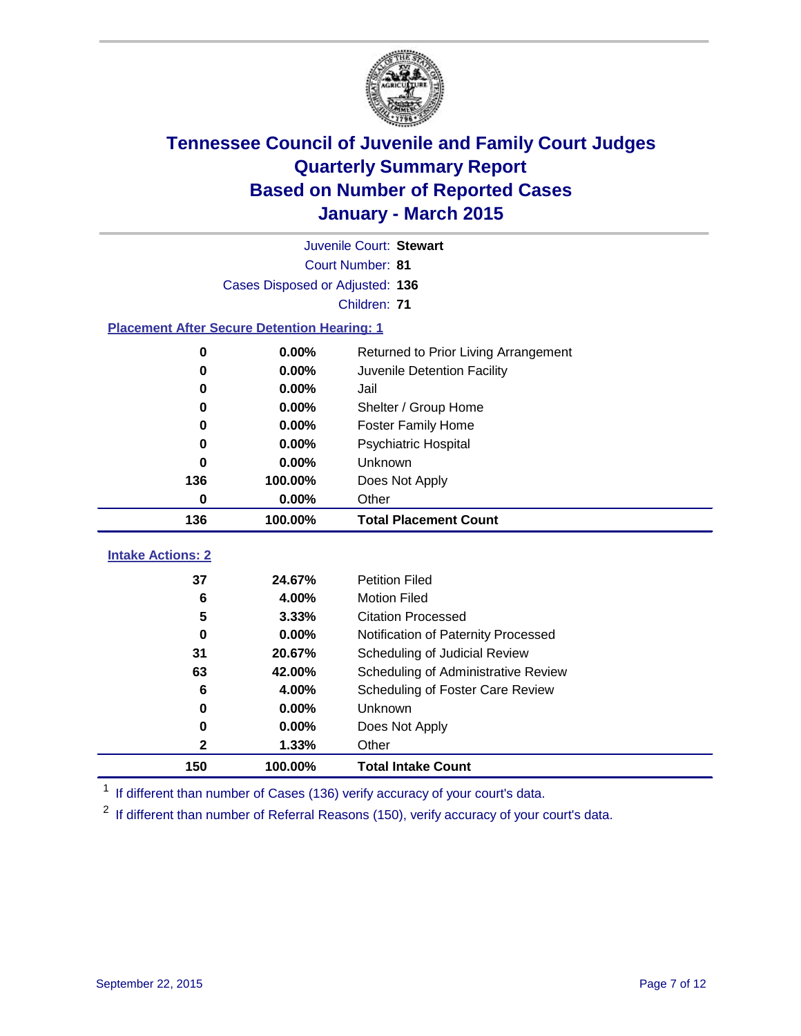

|                                                    | Juvenile Court: Stewart         |                                      |  |  |  |  |
|----------------------------------------------------|---------------------------------|--------------------------------------|--|--|--|--|
|                                                    | Court Number: 81                |                                      |  |  |  |  |
|                                                    | Cases Disposed or Adjusted: 136 |                                      |  |  |  |  |
|                                                    | Children: 71                    |                                      |  |  |  |  |
| <b>Placement After Secure Detention Hearing: 1</b> |                                 |                                      |  |  |  |  |
| 0                                                  | 0.00%                           | Returned to Prior Living Arrangement |  |  |  |  |
| 0                                                  | 0.00%                           | Juvenile Detention Facility          |  |  |  |  |
| 0                                                  | $0.00\%$                        | Jail                                 |  |  |  |  |
| 0                                                  | 0.00%                           | Shelter / Group Home                 |  |  |  |  |
| 0                                                  | 0.00%                           | <b>Foster Family Home</b>            |  |  |  |  |
| O                                                  | 0.00%                           | <b>Psychiatric Hospital</b>          |  |  |  |  |
| O                                                  | 0.00%                           | Unknown                              |  |  |  |  |
| 136                                                | 100.00%                         | Does Not Apply                       |  |  |  |  |
| 0.00%<br>0                                         |                                 | Other                                |  |  |  |  |
| 136                                                | 100.00%                         | <b>Total Placement Count</b>         |  |  |  |  |
| <b>Intake Actions: 2</b>                           |                                 |                                      |  |  |  |  |
| 37                                                 | 24.67%                          | <b>Petition Filed</b>                |  |  |  |  |
| 6                                                  | 4.00%                           | <b>Motion Filed</b>                  |  |  |  |  |
| 5                                                  | 3.33%                           | <b>Citation Processed</b>            |  |  |  |  |
| 0                                                  | 0.00%                           | Notification of Paternity Processed  |  |  |  |  |
| 20.67%<br>31<br>63<br>42.00%                       |                                 | Scheduling of Judicial Review        |  |  |  |  |
|                                                    |                                 | Scheduling of Administrative Review  |  |  |  |  |
| 6                                                  | 4.00%                           | Scheduling of Foster Care Review     |  |  |  |  |
| 0                                                  | 0.00%                           | Unknown                              |  |  |  |  |
| 0                                                  | 0.00%                           | Does Not Apply                       |  |  |  |  |
| 2                                                  | 1.33%                           | Other                                |  |  |  |  |
| 150                                                | 100.00%                         | <b>Total Intake Count</b>            |  |  |  |  |

<sup>1</sup> If different than number of Cases (136) verify accuracy of your court's data.

If different than number of Referral Reasons (150), verify accuracy of your court's data.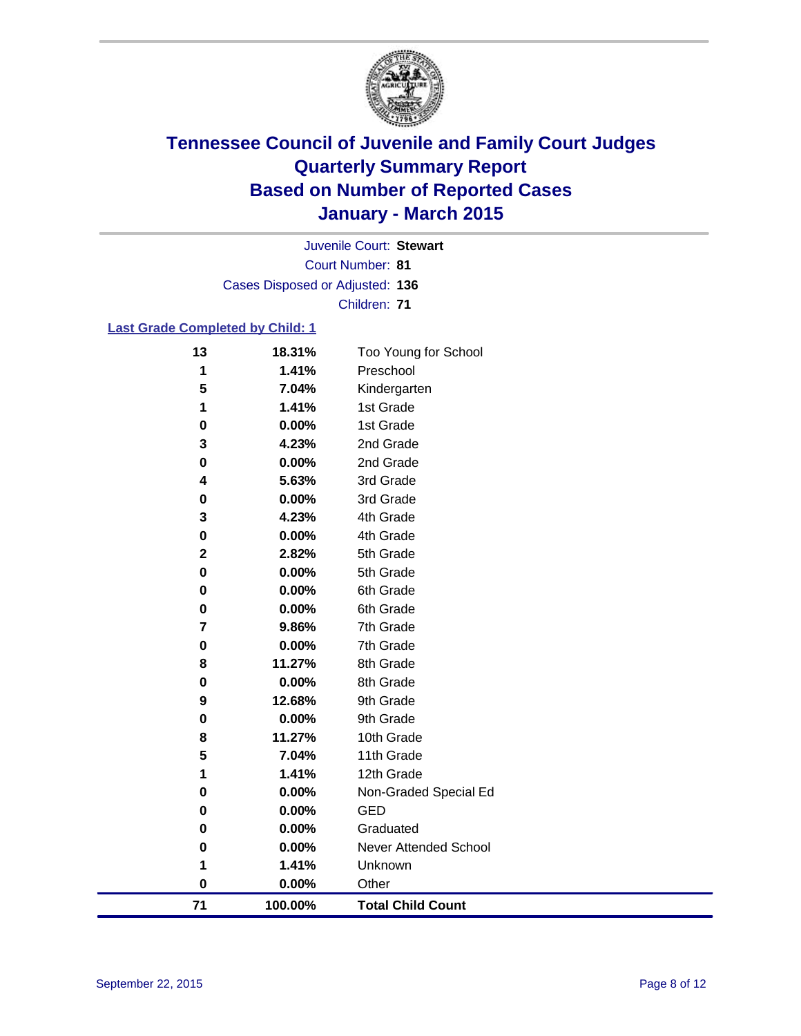

Court Number: **81** Juvenile Court: **Stewart** Cases Disposed or Adjusted: **136** Children: **71**

### **Last Grade Completed by Child: 1**

| 13          | 18.31%   | Too Young for School     |
|-------------|----------|--------------------------|
| 1           | 1.41%    | Preschool                |
| 5           | 7.04%    | Kindergarten             |
| 1           | 1.41%    | 1st Grade                |
| 0           | 0.00%    | 1st Grade                |
| 3           | 4.23%    | 2nd Grade                |
| $\pmb{0}$   | 0.00%    | 2nd Grade                |
| 4           | 5.63%    | 3rd Grade                |
| 0           | 0.00%    | 3rd Grade                |
| 3           | 4.23%    | 4th Grade                |
| 0           | $0.00\%$ | 4th Grade                |
| $\mathbf 2$ | 2.82%    | 5th Grade                |
| 0           | 0.00%    | 5th Grade                |
| 0           | 0.00%    | 6th Grade                |
| 0           | 0.00%    | 6th Grade                |
| 7           | 9.86%    | 7th Grade                |
| 0           | 0.00%    | 7th Grade                |
| 8           | 11.27%   | 8th Grade                |
| 0           | 0.00%    | 8th Grade                |
| 9           | 12.68%   | 9th Grade                |
| 0           | 0.00%    | 9th Grade                |
| 8           | 11.27%   | 10th Grade               |
| 5           | 7.04%    | 11th Grade               |
| 1           | 1.41%    | 12th Grade               |
| 0           | 0.00%    | Non-Graded Special Ed    |
| 0           | 0.00%    | <b>GED</b>               |
| 0           | 0.00%    | Graduated                |
| 0           | 0.00%    | Never Attended School    |
| 1           | 1.41%    | Unknown                  |
| $\bf{0}$    | 0.00%    | Other                    |
| 71          | 100.00%  | <b>Total Child Count</b> |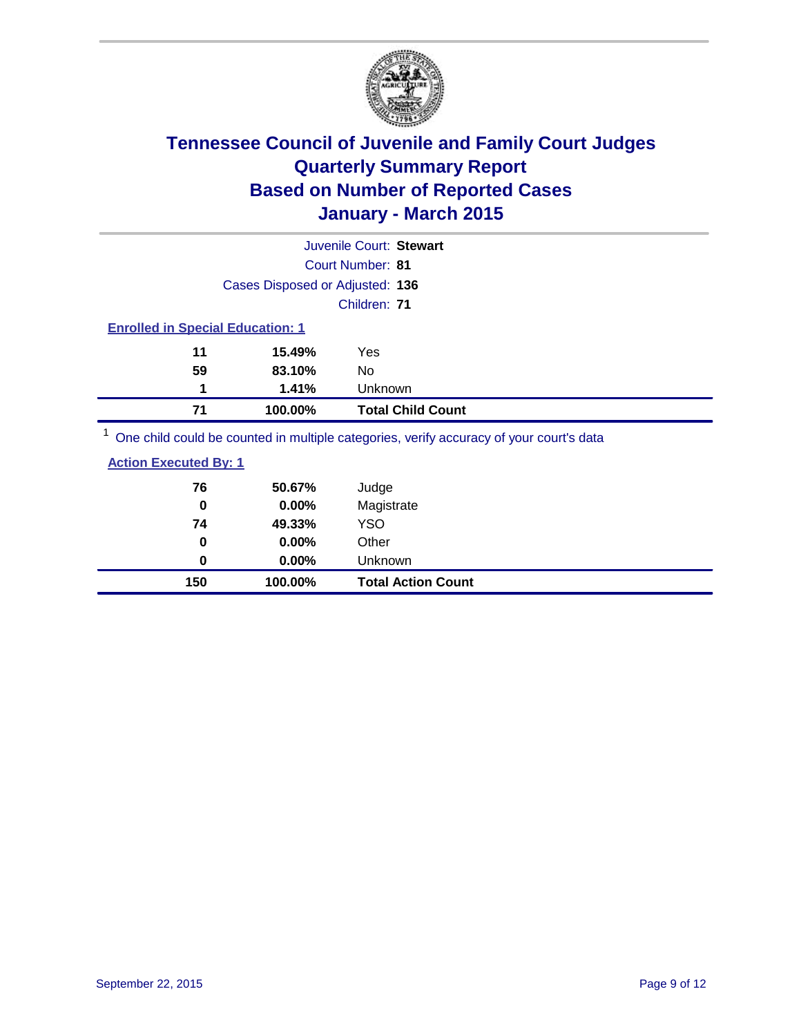

| Juvenile Court: Stewart                                                                 |                          |  |  |  |
|-----------------------------------------------------------------------------------------|--------------------------|--|--|--|
| Court Number: 81                                                                        |                          |  |  |  |
| Cases Disposed or Adjusted: 136                                                         |                          |  |  |  |
| Children: 71                                                                            |                          |  |  |  |
| <b>Enrolled in Special Education: 1</b>                                                 |                          |  |  |  |
| 11<br>15.49%<br><b>Yes</b>                                                              |                          |  |  |  |
| 59<br>83.10%<br>No.                                                                     |                          |  |  |  |
| 1.41%<br>Unknown<br>1                                                                   |                          |  |  |  |
| 100.00%<br>71                                                                           | <b>Total Child Count</b> |  |  |  |
| One child could be counted in multiple categories, verify accuracy of your court's data |                          |  |  |  |

| <b>Action Executed By: 1</b> |        |       |  |  |
|------------------------------|--------|-------|--|--|
| 76                           | 50.67% | Judge |  |  |

| 150 | 100.00%       | <b>Total Action Count</b> |
|-----|---------------|---------------------------|
| 0   | $0.00\%$      | Unknown                   |
| 0   | $0.00\%$      | Other                     |
| 74  | 49.33%        | <b>YSO</b>                |
| 0   | $0.00\%$      | Magistrate                |
| 70  | <b>50.07%</b> | Judge                     |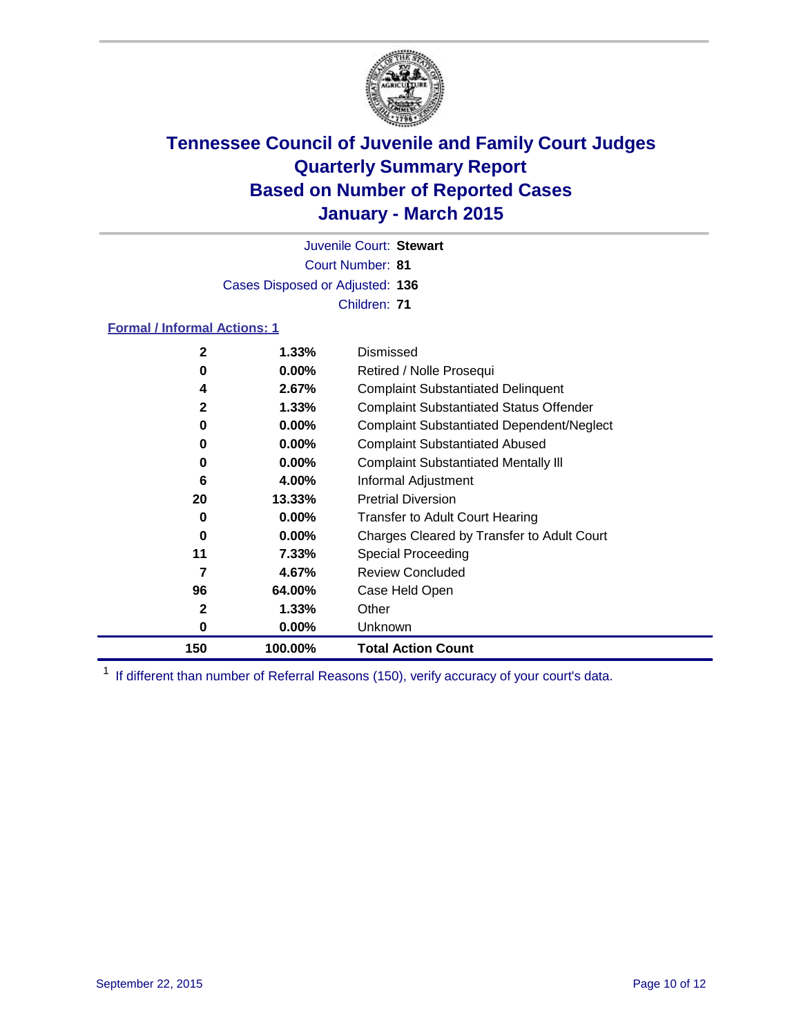

Court Number: **81** Juvenile Court: **Stewart** Cases Disposed or Adjusted: **136** Children: **71**

### **Formal / Informal Actions: 1**

| 2            | 1.33%    | Dismissed                                        |
|--------------|----------|--------------------------------------------------|
| 0            | $0.00\%$ | Retired / Nolle Prosequi                         |
| 4            | 2.67%    | <b>Complaint Substantiated Delinquent</b>        |
| 2            | $1.33\%$ | <b>Complaint Substantiated Status Offender</b>   |
| 0            | $0.00\%$ | <b>Complaint Substantiated Dependent/Neglect</b> |
| 0            | $0.00\%$ | <b>Complaint Substantiated Abused</b>            |
| 0            | $0.00\%$ | <b>Complaint Substantiated Mentally III</b>      |
| 6            | 4.00%    | Informal Adjustment                              |
| 20           | 13.33%   | <b>Pretrial Diversion</b>                        |
| 0            | $0.00\%$ | <b>Transfer to Adult Court Hearing</b>           |
| 0            | $0.00\%$ | Charges Cleared by Transfer to Adult Court       |
| 11           | 7.33%    | Special Proceeding                               |
| 7            | 4.67%    | <b>Review Concluded</b>                          |
| 96           | 64.00%   | Case Held Open                                   |
| $\mathbf{2}$ | 1.33%    | Other                                            |
| 0            | $0.00\%$ | Unknown                                          |
| 150          | 100.00%  | <b>Total Action Count</b>                        |

<sup>1</sup> If different than number of Referral Reasons (150), verify accuracy of your court's data.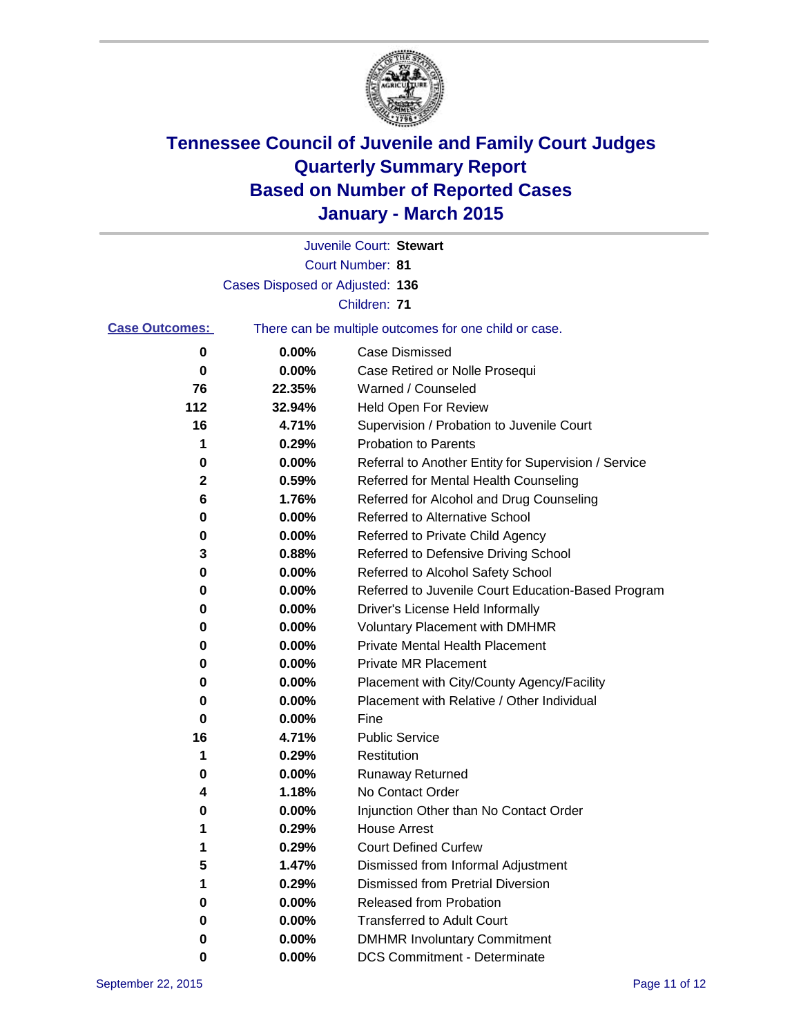

|                       |                                 | Juvenile Court: Stewart                               |
|-----------------------|---------------------------------|-------------------------------------------------------|
|                       |                                 | Court Number: 81                                      |
|                       | Cases Disposed or Adjusted: 136 |                                                       |
|                       |                                 | Children: 71                                          |
| <b>Case Outcomes:</b> |                                 | There can be multiple outcomes for one child or case. |
| 0                     | 0.00%                           | <b>Case Dismissed</b>                                 |
| 0                     | 0.00%                           | Case Retired or Nolle Prosequi                        |
| 76                    | 22.35%                          | Warned / Counseled                                    |
| 112                   | 32.94%                          | <b>Held Open For Review</b>                           |
| 16                    | 4.71%                           | Supervision / Probation to Juvenile Court             |
| 1                     | 0.29%                           | <b>Probation to Parents</b>                           |
| 0                     | 0.00%                           | Referral to Another Entity for Supervision / Service  |
| 2                     | 0.59%                           | Referred for Mental Health Counseling                 |
| 6                     | 1.76%                           | Referred for Alcohol and Drug Counseling              |
| 0                     | 0.00%                           | <b>Referred to Alternative School</b>                 |
| 0                     | 0.00%                           | Referred to Private Child Agency                      |
| 3                     | 0.88%                           | Referred to Defensive Driving School                  |
| 0                     | 0.00%                           | Referred to Alcohol Safety School                     |
| 0                     | 0.00%                           | Referred to Juvenile Court Education-Based Program    |
| 0                     | 0.00%                           | Driver's License Held Informally                      |
| 0                     | 0.00%                           | <b>Voluntary Placement with DMHMR</b>                 |
| 0                     | 0.00%                           | <b>Private Mental Health Placement</b>                |
| 0                     | 0.00%                           | <b>Private MR Placement</b>                           |
| 0                     | 0.00%                           | Placement with City/County Agency/Facility            |
| 0                     | 0.00%                           | Placement with Relative / Other Individual            |
| 0                     | 0.00%                           | Fine                                                  |
| 16                    | 4.71%                           | <b>Public Service</b>                                 |
| 1                     | 0.29%                           | Restitution                                           |
| 0                     | 0.00%                           | <b>Runaway Returned</b>                               |
| 4                     | 1.18%                           | No Contact Order                                      |
| 0                     | 0.00%                           | Injunction Other than No Contact Order                |
|                       | 0.29%                           | House Arrest                                          |
| 1                     | 0.29%                           | <b>Court Defined Curfew</b>                           |
| 5                     | 1.47%                           | Dismissed from Informal Adjustment                    |
|                       | 0.29%                           | <b>Dismissed from Pretrial Diversion</b>              |
| 0                     | 0.00%                           | Released from Probation                               |
| 0                     | 0.00%                           | <b>Transferred to Adult Court</b>                     |
| 0                     | 0.00%                           | <b>DMHMR Involuntary Commitment</b>                   |
| 0                     | 0.00%                           | <b>DCS Commitment - Determinate</b>                   |